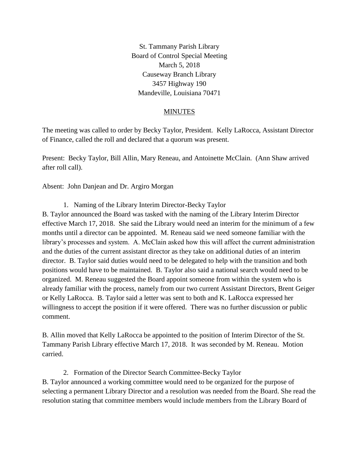St. Tammany Parish Library Board of Control Special Meeting March 5, 2018 Causeway Branch Library 3457 Highway 190 Mandeville, Louisiana 70471

## MINUTES

The meeting was called to order by Becky Taylor, President. Kelly LaRocca, Assistant Director of Finance, called the roll and declared that a quorum was present.

Present: Becky Taylor, Bill Allin, Mary Reneau, and Antoinette McClain. (Ann Shaw arrived after roll call).

Absent: John Danjean and Dr. Argiro Morgan

1. Naming of the Library Interim Director-Becky Taylor

B. Taylor announced the Board was tasked with the naming of the Library Interim Director effective March 17, 2018. She said the Library would need an interim for the minimum of a few months until a director can be appointed. M. Reneau said we need someone familiar with the library's processes and system. A. McClain asked how this will affect the current administration and the duties of the current assistant director as they take on additional duties of an interim director. B. Taylor said duties would need to be delegated to help with the transition and both positions would have to be maintained. B. Taylor also said a national search would need to be organized. M. Reneau suggested the Board appoint someone from within the system who is already familiar with the process, namely from our two current Assistant Directors, Brent Geiger or Kelly LaRocca. B. Taylor said a letter was sent to both and K. LaRocca expressed her willingness to accept the position if it were offered. There was no further discussion or public comment.

B. Allin moved that Kelly LaRocca be appointed to the position of Interim Director of the St. Tammany Parish Library effective March 17, 2018. It was seconded by M. Reneau. Motion carried.

2. Formation of the Director Search Committee-Becky Taylor

B. Taylor announced a working committee would need to be organized for the purpose of selecting a permanent Library Director and a resolution was needed from the Board. She read the resolution stating that committee members would include members from the Library Board of